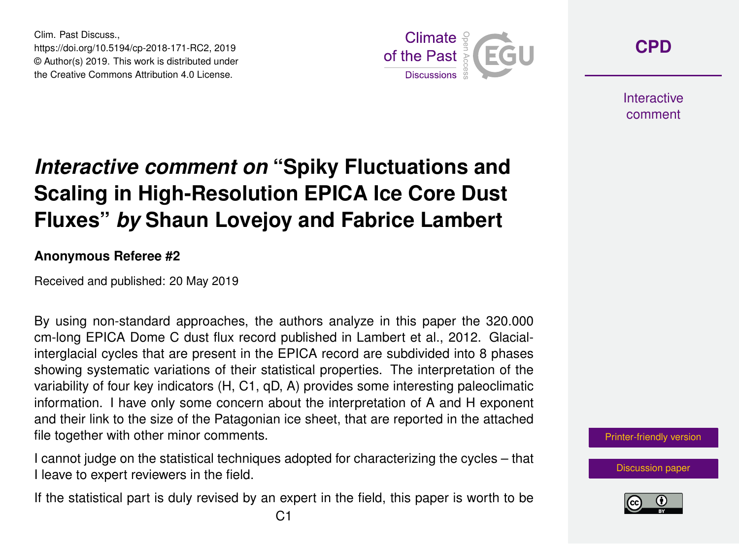Clim. Past Discuss., https://doi.org/10.5194/cp-2018-171-RC2, 2019 © Author(s) 2019. This work is distributed under the Creative Commons Attribution 4.0 License.



**[CPD](https://www.clim-past-discuss.net/)**

**Interactive** comment

## *Interactive comment on* **"Spiky Fluctuations and Scaling in High-Resolution EPICA Ice Core Dust Fluxes"** *by* **Shaun Lovejoy and Fabrice Lambert**

## **Anonymous Referee #2**

Received and published: 20 May 2019

By using non-standard approaches, the authors analyze in this paper the 320.000 cm-long EPICA Dome C dust flux record published in Lambert et al., 2012. Glacialinterglacial cycles that are present in the EPICA record are subdivided into 8 phases showing systematic variations of their statistical properties. The interpretation of the variability of four key indicators (H, C1, qD, A) provides some interesting paleoclimatic information. I have only some concern about the interpretation of A and H exponent and their link to the size of the Patagonian ice sheet, that are reported in the attached file together with other minor comments.

I cannot judge on the statistical techniques adopted for characterizing the cycles – that I leave to expert reviewers in the field.

If the statistical part is duly revised by an expert in the field, this paper is worth to be

[Printer-friendly version](https://www.clim-past-discuss.net/cp-2018-171/cp-2018-171-RC2-print.pdf)

[Discussion paper](https://www.clim-past-discuss.net/cp-2018-171)